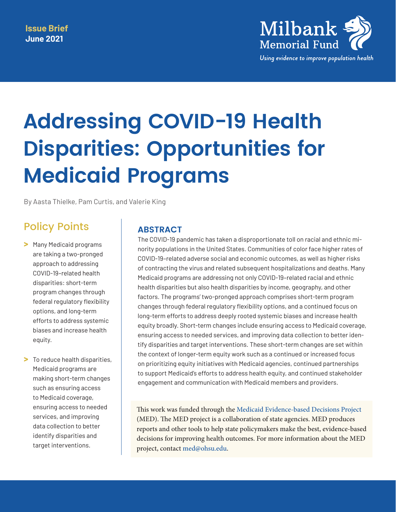

# **Addressing COVID-19 Health Disparities: Opportunities for Medicaid Programs**

By Aasta Thielke, Pam Curtis, and Valerie King

## Policy Points

- **>** Many Medicaid programs are taking a two-pronged approach to addressing COVID-19–related health disparities: short-term program changes through federal regulatory flexibility options, and long-term efforts to address systemic biases and increase health equity.
- **>** To reduce health disparities, Medicaid programs are making short-term changes such as ensuring access to Medicaid coverage, ensuring access to needed services, and improving data collection to better identify disparities and target interventions.

## **ABSTRACT**

The COVID-19 pandemic has taken a disproportionate toll on racial and ethnic minority populations in the United States. Communities of color face higher rates of COVID-19–related adverse social and economic outcomes, as well as higher risks of contracting the virus and related subsequent hospitalizations and deaths. Many Medicaid programs are addressing not only COVID-19–related racial and ethnic health disparities but also health disparities by income, geography, and other factors. The programs' two-pronged approach comprises short-term program changes through federal regulatory flexibility options, and a continued focus on long-term efforts to address deeply rooted systemic biases and increase health equity broadly. Short-term changes include ensuring access to Medicaid coverage, ensuring access to needed services, and improving data collection to better identify disparities and target interventions. These short-term changes are set within the context of longer-term equity work such as a continued or increased focus on prioritizing equity initiatives with Medicaid agencies, continued partnerships to support Medicaid's efforts to address health equity, and continued stakeholder engagement and communication with Medicaid members and providers.

This work was funded through the [Medicaid Evidence-based Decisions Project](https://centerforevidencebasedpolicy.org/our-approach/med/) (MED). The MED project is a collaboration of state agencies. MED produces reports and other tools to help state policymakers make the best, evidence-based decisions for improving health outcomes. For more information about the MED project, contact [med@ohsu.edu.](mailto:med@ohsu.edu)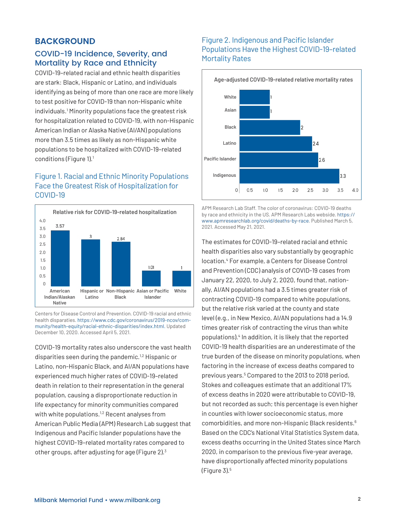## **BACKGROUND**

## COVID-19 Incidence, Severity, and Mortality by Race and Ethnicity

COVID-19–related racial and ethnic health disparities are stark: Black, Hispanic or Latino, and individuals identifying as being of more than one race are more likely to test positive for COVID-19 than non-Hispanic white individuals.[1](#page-8-0) Minority populations face the greatest risk for hospitalization related to COVID-19, with non-Hispanic American Indian or Alaska Native (AI/AN) populations more than 3.5 times as likely as non-Hispanic white populations to be hospitalized with COVID-19–related conditions (Figure 1)[.1](#page-8-0)

## Figure 1. Racial and Ethnic Minority Populations Face the Greatest Risk of Hospitalization for COVID-19



Centers for Disease Control and Prevention. COVID-19 racial and ethnic health disparaties. [https://www.cdc.gov/coronavirus/2019-ncov/com](https://www.cdc.gov/coronavirus/2019-ncov/community/health-equity/racial-ethnic-disparities/index.html)[munity/health-equity/racial-ethnic-disparities/index.html](https://www.cdc.gov/coronavirus/2019-ncov/community/health-equity/racial-ethnic-disparities/index.html). Updated December 10, 2020. Accessed April 5, 2021.

COVID-19 mortality rates also underscore the vast health disparities seen during the pandemic.<sup>1,[2](#page-8-1)</sup> Hispanic or Latino, non-Hispanic Black, and AI/AN populations have experienced much higher rates of COVID-19–related death in relation to their representation in the general population, causing a disproportionate reduction in life expectancy for minority communities compared with white populations.<sup>[1,](#page-8-0)[2](#page-8-1)</sup> Recent analyses from American Public Media (APM) Research Lab suggest that Indigenous and Pacific Islander populations have the highest COVID-19–related mortality rates compared to other groups, after adjusting for age (Figure 2)[.3](#page-8-2)

## Figure 2. Indigenous and Pacific Islander Populations Have the Highest COVID-19–related Mortality Rates



APM Research Lab Staff. The color of coronavirus: COVID-19 deaths by race and ethnicity in the US. APM Research Labs webside. [https://](https://www.apmresearchlab.org/covid/deaths-by-race) [www.apmresearchlab.org/covid/deaths-by-race](https://www.apmresearchlab.org/covid/deaths-by-race). Published March 5, 2021. Accessed May 21, 2021.

The estimates for COVID-19–related racial and ethnic health disparities also vary substantially by geographic location.[4](#page-8-3) For example, a Centers for Disease Control and Prevention (CDC) analysis of COVID-19 cases from January 22, 2020, to July 2, 2020, found that, nationally, AI/AN populations had a 3.5 times greater risk of contracting COVID-19 compared to white populations, but the relative risk varied at the county and state level (e.g., in New Mexico, AI/AN populations had a 14.9 times greater risk of contracting the virus than white populations)[.4](#page-8-3) In addition, it is likely that the reported COVID-19 health disparities are an underestimate of the true burden of the disease on minority populations, when factoring in the increase of excess deaths compared to previous years.<sup>5</sup> Compared to the 2013 to 2018 period, Stokes and colleagues estimate that an additional 17% of excess deaths in 2020 were attributable to COVID-19, but not recorded as such; this percentage is even higher in counties with lower socioeconomic status, more comorbidities, and more non-Hispanic Black residents.[6](#page-8-5) Based on the CDC's National Vital Statistics System data, excess deaths occurring in the United States since March 2020, in comparison to the previous five-year average, have disproportionally affected minority populations (Figure 3)[.5](#page-8-4)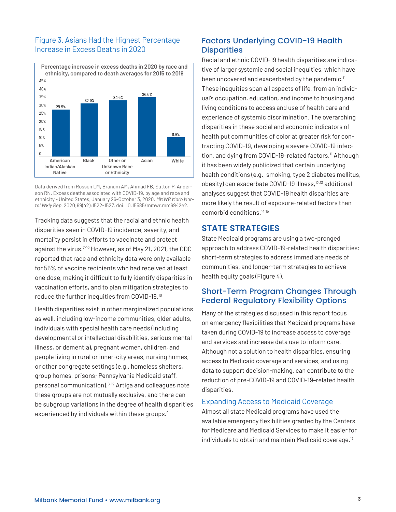## Figure 3. Asians Had the Highest Percentage Increase in Excess Deaths in 2020



Data derived from Rossen LM, Branum AM, Ahmad FB, Sutton P, Anderson RN. Excess deaths associated with COVID-19, by age and race and ethnicity - United States, January 26-October 3, 2020. *MMWR Morb Mortal Wkly Rep.* 2020;69(42):1522-1527. doi: 10.15585/mmwr.mm6942e2.

Tracking data suggests that the racial and ethnic health disparities seen in COVID-19 incidence, severity, and mortality persist in efforts to vaccinate and protect against the virus.<sup>7-10</sup> However, as of May 21, 2021, the CDC reported that race and ethnicity data were only available for 56% of vaccine recipients who had received at least one dose, making it difficult to fully identify disparities in vaccination efforts, and to plan mitigation strategies to reduce the further inequities from COVID-19[.10](#page-8-7)

Health disparities exist in other marginalized populations as well, including low-income communities, older adults, individuals with special health care needs (including developmental or intellectual disabilities, serious mental illness, or dementia), pregnant women, children, and people living in rural or inner-city areas, nursing homes, or other congregate settings (e.g., homeless shelters, group homes, prisons; Pennsylvania Medicaid staff, personal communication).[6-](#page-8-5)[12](#page-8-8) Artiga and colleagues note these groups are not mutually exclusive, and there can be subgroup variations in the degree of health disparities experienced by individuals within these groups.<sup>[9](#page-8-9)</sup>

## Factors Underlying COVID-19 Health **Disparities**

Racial and ethnic COVID-19 health disparities are indicative of larger systemic and social inequities, which have been uncovered and exacerbated by the pandemic.<sup>[11](#page-8-10)</sup> These inequities span all aspects of life, from an individual's occupation, education, and income to housing and living conditions to access and use of health care and experience of systemic discrimination. The overarching disparities in these social and economic indicators of health put communities of color at greater risk for contracting COVID-19, developing a severe COVID-19 infection, and dying from COVID-19-related factors.<sup>11</sup> Although it has been widely publicized that certain underlying health conditions (e.g., smoking, type 2 diabetes mellitus, obesity) can exacerbate COVID-19 illness,[12](#page-8-8),[13](#page-8-11) additional analyses suggest that COVID-19 health disparities are more likely the result of exposure-related factors than comorbid conditions.[14](#page-8-12),[15](#page-9-0)

## **STATE STRATEGIES**

State Medicaid programs are using a two-pronged approach to address COVID-19-related health disparities: short-term strategies to address immediate needs of communities, and longer-term strategies to achieve health equity goals (Figure 4).

## Short-Term Program Changes Through Federal Regulatory Flexibility Options

Many of the strategies discussed in this report focus on emergency flexibilities that Medicaid programs have taken during COVID-19 to increase access to coverage and services and increase data use to inform care. Although not a solution to health disparities, ensuring access to Medicaid coverage and services, and using data to support decision-making, can contribute to the reduction of pre-COVID-19 and COVID-19–related health disparities.

## Expanding Access to Medicaid Coverage

Almost all state Medicaid programs have used the available emergency flexibilities granted by the Centers for Medicare and Medicaid Services to make it easier for individuals to obtain and maintain Medicaid coverage. $17$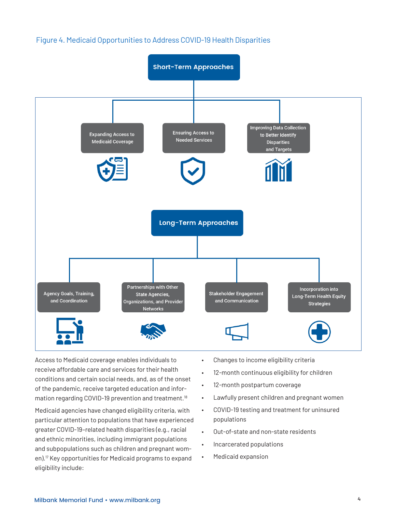## Figure 4. Medicaid Opportunities to Address COVID-19 Health Disparities



Access to Medicaid coverage enables individuals to receive affordable care and services for their health conditions and certain social needs, and, as of the onset of the pandemic, receive targeted education and infor-mation regarding COVID-19 prevention and treatment.<sup>[18](#page-9-2)</sup>

Medicaid agencies have changed eligibility criteria, with particular attention to populations that have experienced greater COVID-19–related health disparities (e.g., racial and ethnic minorities, including immigrant populations and subpopulations such as children and pregnant women)[.17](#page-9-1) Key opportunities for Medicaid programs to expand eligibility include:

- Changes to income eligibility criteria
- 12-month continuous eligibility for children
- 12-month postpartum coverage
- Lawfully present children and pregnant women
- COVID-19 testing and treatment for uninsured populations
- Out-of-state and non-state residents
- Incarcerated populations
- Medicaid expansion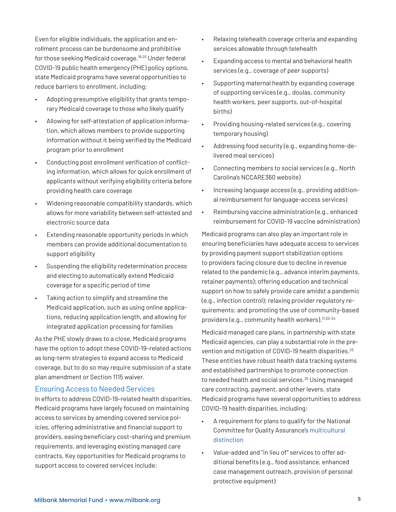Even for eligible individuals, the application and enrollment process can be burdensome and prohibitive for those seeking Medicaid coverage.<sup>[19,](#page-9-3)20</sup> Under federal COVID-19 public health emergency (PHE) policy options, state Medicaid programs have several opportunities to reduce barriers to enrollment, including:

- Adopting presumptive eligibility that grants temporary Medicaid coverage to those who likely qualify
- Allowing for self-attestation of application information, which allows members to provide supporting information without it being verified by the Medicaid program prior to enrollment
- Conducting post enrollment verification of conflicting information, which allows for quick enrollment of applicants without verifying eligibility criteria before providing health care coverage
- Widening reasonable compatibility standards, which allows for more variability between self-attested and electronic source data
- Extending reasonable opportunity periods in which members can provide additional documentation to support eligibility
- Suspending the eligibility redetermination process and electing to automatically extend Medicaid coverage for a specific period of time
- Taking action to simplify and streamline the Medicaid application, such as using online applications, reducing application length, and allowing for integrated application processing for families

As the PHE slowly draws to a close, Medicaid programs have the option to adopt these COVID-19–related actions as long-term strategies to expand access to Medicaid coverage, but to do so may require submission of a state plan amendment or Section 1115 waiver.

#### Ensuring Access to Needed Services

In efforts to address COVID-19–related health disparities, Medicaid programs have largely focused on maintaining access to services by amending covered service policies, offering administrative and financial support to providers, easing beneficiary cost-sharing and premium requirements, and leveraging existing managed care contracts. Key opportunities for Medicaid programs to support access to covered services include:

- Relaxing telehealth coverage criteria and expanding services allowable through telehealth
- Expanding access to mental and behavioral health services (e.g., coverage of peer supports)
- Supporting maternal health by expanding coverage of supporting services (e.g., doulas, community health workers, peer supports, out-of-hospital births)
- Providing housing-related services (e.g., covering temporary housing)
- Addressing food security (e.g., expanding home-delivered meal services)
- Connecting members to social services (e.g., North Carolina's NCCARE360 website)
- Increasing language access (e.g., providing additional reimbursement for language-access services)
- Reimbursing vaccine administration (e.g., enhanced reimbursement for COVID-19 vaccine administration)

Medicaid programs can also play an important role in ensuring beneficiaries have adequate access to services by providing payment support stabilization options to providers facing closure due to decline in revenue related to the pandemic (e.g., advance interim payments, retainer payments); offering education and technical support on how to safely provide care amidst a pandemic (e.g., infection control); relaxing provider regulatory requirements; and promoting the use of community-based providers (e.g., community health workers).<sup>[17](#page-9-1),[20](#page-9-4)-[24](#page-9-5)</sup>

Medicaid managed care plans, in partnership with state Medicaid agencies, can play a substantial role in the pre-vention and mitigation of COVID-19 health disparities.<sup>[25](#page-9-6)</sup> These entities have robust health data tracking systems and established partnerships to promote connection to needed health and social services.<sup>25</sup> Using managed care contracting, payment, and other levers, state Medicaid programs have several opportunities to address COVID-19 health disparities, including:

- A requirement for plans to qualify for the National Committee for Quality Assurance's [multicultural](https://www.ncqa.org/programs/health-plans/multicultural-health-care-mhc/)  [distinction](https://www.ncqa.org/programs/health-plans/multicultural-health-care-mhc/)
- Value-added and "in lieu of" services to offer additional benefits (e.g., food assistance, enhanced case management outreach, provision of personal protective equipment)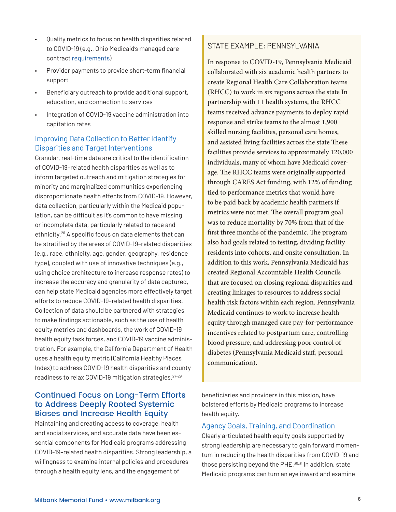- Quality metrics to focus on health disparities related to COVID-19 (e.g., Ohio Medicaid's managed care contract [requirements\)](https://medicaid.ohio.gov/wps/portal/gov/medicaid/resources-for-providers/managed-care/mc-policy/managed-care-agreements/managed-care-agreements)
- Provider payments to provide short-term financial support
- Beneficiary outreach to provide additional support, education, and connection to services
- Integration of COVID-19 vaccine administration into capitation rates

## Improving Data Collection to Better Identify Disparities and Target Interventions

Granular, real-time data are critical to the identification of COVID-19–related health disparities as well as to inform targeted outreach and mitigation strategies for minority and marginalized communities experiencing disproportionate health effects from COVID-19. However, data collection, particularly within the Medicaid population, can be difficult as it's common to have missing or incomplete data, particularly related to race and ethnicity.[26](#page-9-7) A specific focus on data elements that can be stratified by the areas of COVID-19–related disparities (e.g., race, ethnicity, age, gender, geography, residence type), coupled with use of innovative techniques (e.g., using choice architecture to increase response rates) to increase the accuracy and granularity of data captured, can help state Medicaid agencies more effectively target efforts to reduce COVID-19–related health disparities. Collection of data should be partnered with strategies to make findings actionable, such as the use of health equity metrics and dashboards, the work of COVID-19 health equity task forces, and COVID-19 vaccine administration. For example, the California Department of Health uses a health equity metric (California Healthy Places Index) to address COVID-19 health disparities and county readiness to relax COVID-19 mitigation strategies.[27-](#page-9-8)[29](#page-10-0)

## Continued Focus on Long-Term Efforts to Address Deeply Rooted Systemic Biases and Increase Health Equity

Maintaining and creating access to coverage, health and social services, and accurate data have been essential components for Medicaid programs addressing COVID-19–related health disparities. Strong leadership, a willingness to examine internal policies and procedures through a health equity lens, and the engagement of

## STATE EXAMPLE: PENNSYLVANIA

In response to COVID-19, Pennsylvania Medicaid collaborated with six academic health partners to create Regional Health Care Collaboration teams (RHCC) to work in six regions across the state In partnership with 11 health systems, the RHCC teams received advance payments to deploy rapid response and strike teams to the almost 1,900 skilled nursing facilities, personal care homes, and assisted living facilities across the state These facilities provide services to approximately 120,000 individuals, many of whom have Medicaid coverage. The RHCC teams were originally supported through CARES Act funding, with 12% of funding tied to performance metrics that would have to be paid back by academic health partners if metrics were not met. The overall program goal was to reduce mortality by 70% from that of the first three months of the pandemic. The program also had goals related to testing, dividing facility residents into cohorts, and onsite consultation. In addition to this work, Pennsylvania Medicaid has created Regional Accountable Health Councils that are focused on closing regional disparities and creating linkages to resources to address social health risk factors within each region. Pennsylvania Medicaid continues to work to increase health equity through managed care pay-for-performance incentives related to postpartum care, controlling blood pressure, and addressing poor control of diabetes (Pennsylvania Medicaid staff, personal communication).

beneficiaries and providers in this mission, have bolstered efforts by Medicaid programs to increase health equity.

#### Agency Goals, Training, and Coordination

Clearly articulated health equity goals supported by strong leadership are necessary to gain forward momentum in reducing the health disparities from COVID-19 and those persisting beyond the PHE.<sup>[30](#page-10-1),31</sup> In addition, state Medicaid programs can turn an eye inward and examine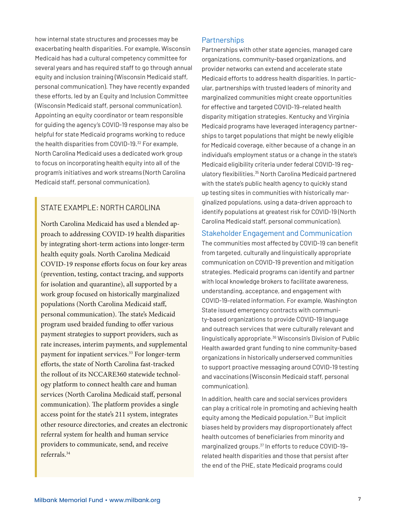how internal state structures and processes may be exacerbating health disparities. For example, Wisconsin Medicaid has had a cultural competency committee for several years and has required staff to go through annual equity and inclusion training (Wisconsin Medicaid staff, personal communication). They have recently expanded these efforts, led by an Equity and Inclusion Committee (Wisconsin Medicaid staff, personal communication). Appointing an equity coordinator or team responsible for guiding the agency's COVID-19 response may also be helpful for state Medicaid programs working to reduce the health disparities from COVID-19[.32](#page-10-3) For example, North Carolina Medicaid uses a dedicated work group to focus on incorporating health equity into all of the program's initiatives and work streams (North Carolina Medicaid staff, personal communication).

## STATE FXAMPLE: NORTH CAROLINA

North Carolina Medicaid has used a blended approach to addressing COVID-19 health disparities by integrating short-term actions into longer-term health equity goals. North Carolina Medicaid COVID-19 response efforts focus on four key areas (prevention, testing, contact tracing, and supports for isolation and quarantine), all supported by a work group focused on historically marginalized populations (North Carolina Medicaid staff, personal communication). The state's Medicaid program used braided funding to offer various payment strategies to support providers, such as rate increases, interim payments, and supplemental payment for inpatient services.<sup>33</sup> For longer-term efforts, the state of North Carolina fast-tracked the rollout of its NCCARE360 statewide technology platform to connect health care and human services (North Carolina Medicaid staff, personal communication). The platform provides a single access point for the state's 211 system, integrates other resource directories, and creates an electronic referral system for health and human service providers to communicate, send, and receive referrals[.34](#page-10-8) 

#### **Partnerships**

Partnerships with other state agencies, managed care organizations, community-based organizations, and provider networks can extend and accelerate state Medicaid efforts to address health disparities. In particular, partnerships with trusted leaders of minority and marginalized communities might create opportunities for effective and targeted COVID-19–related health disparity mitigation strategies. Kentucky and Virginia Medicaid programs have leveraged interagency partnerships to target populations that might be newly eligible for Medicaid coverage, either because of a change in an individual's employment status or a change in the state's Medicaid eligibility criteria under federal COVID-19 regulatory flexibilities.[35](#page-10-4) North Carolina Medicaid partnered with the state's public health agency to quickly stand up testing sites in communities with historically marginalized populations, using a data-driven approach to identify populations at greatest risk for COVID-19 (North Carolina Medicaid staff, personal communication).

#### Stakeholder Engagement and Communication

The communities most affected by COVID-19 can benefit from targeted, culturally and linguistically appropriate communication on COVID-19 prevention and mitigation strategies. Medicaid programs can identify and partner with local knowledge brokers to facilitate awareness, understanding, acceptance, and engagement with COVID-19–related information. For example, Washington State issued emergency contracts with community-based organizations to provide COVID-19 language and outreach services that were culturally relevant and linguistically appropriate[.36](#page-10-5) Wisconsin's Division of Public Health awarded grant funding to nine community-based organizations in historically underserved communities to support proactive messaging around COVID-19 testing and vaccinations (Wisconsin Medicaid staff, personal communication).

In addition, health care and social services providers can play a critical role in promoting and achieving health equity among the Medicaid population.<sup>37</sup> But implicit biases held by providers may disproportionately affect health outcomes of beneficiaries from minority and marginalized groups.[37](#page-10-6) In efforts to reduce COVID-19– related health disparities and those that persist after the end of the PHE, state Medicaid programs could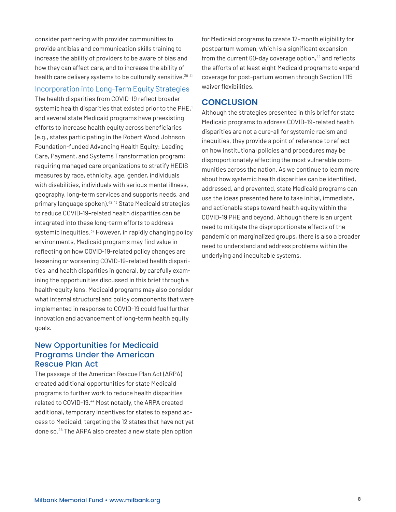consider partnering with provider communities to provide antibias and communication skills training to increase the ability of providers to be aware of bias and how they can affect care, and to increase the ability of health care delivery systems to be culturally sensitive. [38](#page-10-9)[-41](#page-10-10)

## Incorporation into Long-Term Equity Strategies

The health disparities from COVID-19 reflect broader systemic health disparities that existed prior to the PHE,<sup>1</sup> and several state Medicaid programs have preexisting efforts to increase health equity across beneficiaries (e.g., states participating in the Robert Wood Johnson Foundation-funded Advancing Health Equity: Leading Care, Payment, and Systems Transformation program; requiring managed care organizations to stratify HEDIS measures by race, ethnicity, age, gender, individuals with disabilities, individuals with serious mental illness, geography, long-term services and supports needs, and primary language spoken).[42](#page-10-11)[,43](#page-11-0) State Medicaid strategies to reduce COVID-19–related health disparities can be integrated into these long-term efforts to address systemic inequities.<sup>37</sup> However, in rapidly changing policy environments, Medicaid programs may find value in reflecting on how COVID-19-related policy changes are lessening or worsening COVID-19–related health disparities and health disparities in general, by carefully examining the opportunities discussed in this brief through a health-equity lens. Medicaid programs may also consider what internal structural and policy components that were implemented in response to COVID-19 could fuel further innovation and advancement of long-term health equity goals.

## New Opportunities for Medicaid Programs Under the American Rescue Plan Act

The passage of the American Rescue Plan Act (ARPA) created additional opportunities for state Medicaid programs to further work to reduce health disparities related to COVID-19.[44](#page-11-1) Most notably, the ARPA created additional, temporary incentives for states to expand access to Medicaid, targeting the 12 states that have not yet done so.<sup>44</sup> The ARPA also created a new state plan option

for Medicaid programs to create 12-month eligibility for postpartum women, which is a significant expansion from the current 60-day coverage option,<sup>44</sup> and reflects the efforts of at least eight Medicaid programs to expand coverage for post-partum women through Section 1115 waiver flexibilities.

## **CONCLUSION**

Although the strategies presented in this brief for state Medicaid programs to address COVID-19–related health disparities are not a cure-all for systemic racism and inequities, they provide a point of reference to reflect on how institutional policies and procedures may be disproportionately affecting the most vulnerable communities across the nation. As we continue to learn more about how systemic health disparities can be identified, addressed, and prevented, state Medicaid programs can use the ideas presented here to take initial, immediate, and actionable steps toward health equity within the COVID-19 PHE and beyond. Although there is an urgent need to mitigate the disproportionate effects of the pandemic on marginalized groups, there is also a broader need to understand and address problems within the underlying and inequitable systems.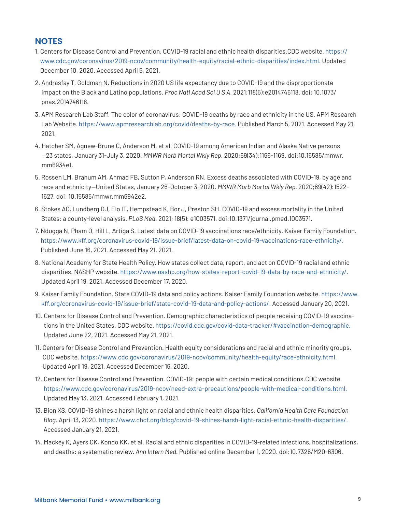## **NOTES**

- <span id="page-8-0"></span>1. Centers for Disease Control and Prevention. COVID-19 racial and ethnic health disparities.CDC website. [https://](https://www.cdc.gov/coronavirus/2019-ncov/community/health-equity/racial-ethnic-disparities/index.html) [www.cdc.gov/coronavirus/2019-ncov/community/health-equity/racial-ethnic-disparities/index.html](https://www.cdc.gov/coronavirus/2019-ncov/community/health-equity/racial-ethnic-disparities/index.html). Updated December 10, 2020. Accessed April 5, 2021.
- <span id="page-8-1"></span>2. Andrasfay T, Goldman N. Reductions in 2020 US life expectancy due to COVID-19 and the disproportionate impact on the Black and Latino populations. *Proc Natl Acad Sci U S A.* 2021;118(5):e2014746118. doi: 10.1073/ pnas.2014746118.
- <span id="page-8-2"></span>3. APM Research Lab Staff. The color of coronavirus: COVID-19 deaths by race and ethnicity in the US. APM Research Lab Website. <https://www.apmresearchlab.org/covid/deaths-by-race>. Published March 5, 2021. Accessed May 21, 2021.
- <span id="page-8-3"></span>4. Hatcher SM, Agnew-Brune C, Anderson M, et al. COVID-19 among American Indian and Alaska Native persons —23 states, January 31-July 3, 2020. *MMWR Morb Mortal Wkly Rep.* 2020;69(34):1166-1169. doi:10.15585/mmwr. mm6934e1.
- <span id="page-8-4"></span>5. Rossen LM, Branum AM, Ahmad FB, Sutton P, Anderson RN. Excess deaths associated with COVID-19, by age and race and ethnicity—United States, January 26-October 3, 2020. *MMWR Morb Mortal Wkly Rep.* 2020;69(42):1522- 1527. doi: 10.15585/mmwr.mm6942e2.
- <span id="page-8-5"></span>6. Stokes AC, Lundberg DJ, Elo IT, Hempstead K, Bor J, Preston SH. COVID-19 and excess mortality in the United States: a county-level analysis. *PLoS Med.* 2021; 18(5): e1003571. doi:10.1371/journal.pmed.1003571.
- <span id="page-8-6"></span>7. Ndugga N, Pham O, Hill L, Artiga S. Latest data on COVID-19 vaccinations race/ethnicity. Kaiser Family Foundation. <https://www.kff.org/coronavirus-covid-19/issue-brief/latest-data-on-covid-19-vaccinations-race-ethnicity/>. Published June 16, 2021. Accessed May 21, 2021.
- 8. National Academy for State Health Policy. How states collect data, report, and act on COVID-19 racial and ethnic disparities. NASHP website.<https://www.nashp.org/how-states-report-covid-19-data-by-race-and-ethnicity/>. Updated April 19, 2021. Accessed December 17, 2020.
- <span id="page-8-9"></span>9. Kaiser Family Foundation. State COVID-19 data and policy actions. Kaiser Family Foundation website. [https://www.](https://www.kff.org/coronavirus-covid-19/issue-brief/state-covid-19-data-and-policy-actions/) [kff.org/coronavirus-covid-19/issue-brief/state-covid-19-data-and-policy-actions/](https://www.kff.org/coronavirus-covid-19/issue-brief/state-covid-19-data-and-policy-actions/). Accessed January 20, 2021.
- <span id="page-8-7"></span>10. Centers for Disease Control and Prevention. Demographic characteristics of people receiving COVID-19 vaccinations in the United States. CDC website. https://covid.cdc.gov/covid-data-tracker/#vaccination-demographic. Updated June 22, 2021. Accessed May 21, 2021.
- <span id="page-8-10"></span>11. Centers for Disease Control and Prevention. Health equity considerations and racial and ethnic minority groups. CDC website. <https://www.cdc.gov/coronavirus/2019-ncov/community/health-equity/race-ethnicity.html>. Updated April 19, 2021. Accessed December 16, 2020.
- <span id="page-8-8"></span>12. Centers for Disease Control and Prevention. COVID-19: people with certain medical conditions.CDC website. <https://www.cdc.gov/coronavirus/2019-ncov/need-extra-precautions/people-with-medical-conditions.html>. Updated May 13, 2021. Accessed February 1, 2021.
- <span id="page-8-11"></span>13. Bion XS. COVID-19 shines a harsh light on racial and ethnic health disparities. *California Health Care Foundation Blog.* April 13, 2020. <https://www.chcf.org/blog/covid-19-shines-harsh-light-racial-ethnic-health-disparities/>. Accessed January 21, 2021.
- <span id="page-8-12"></span>14. Mackey K, Ayers CK, Kondo KK, et al. Racial and ethnic disparities in COVID-19-related infections, hospitalizations, and deaths: a systematic review. *Ann Intern Med.* Published online December 1, 2020. doi:10.7326/M20-6306.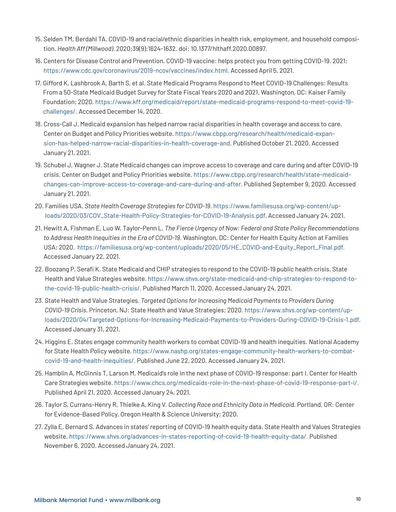- <span id="page-9-0"></span>15. Selden TM, Berdahl TA. COVID-19 and racial/ethnic disparities in health risk, employment, and household composition. *Health Aff (Millwood).* 2020;39(9):1624-1632. doi: 10.1377/hlthaff.2020.00897.
- 16. Centers for Disease Control and Prevention. COVID-19 vaccine: helps protect you from getting COVID-19. 2021; [https://www.cdc.gov/coronavirus/2019-ncov/vaccines/index.html](https://www.cdc.gov/coronavirus/2019-ncov/vaccines/effectiveness/work.html). Accessed April 5, 2021.
- <span id="page-9-1"></span>17. Gifford K, Lashbrook A, Barth S, et al. State Medicaid Programs Respond to Meet COVID-19 Challenges: Results From a 50-State Medicaid Budget Survey for State Fiscal Years 2020 and 2021. Washington, DC: Kaiser Family Foundation; 2020. [https://www.kff.org/medicaid/report/state-medicaid-programs-respond-to-meet-covid-19](https://www.kff.org/medicaid/report/state-medicaid-programs-respond-to-meet-covid-19-challenges/) [challenges/.](https://www.kff.org/medicaid/report/state-medicaid-programs-respond-to-meet-covid-19-challenges/) Accessed December 14, 2020.
- <span id="page-9-2"></span>18. Cross-Call J. Medicaid expansion has helped narrow racial disparities in health coverage and access to care. Center on Budget and Policy Priorities website. [https://www.cbpp.org/research/health/medicaid-expan](https://www.cbpp.org/research/health/medicaid-expansion-has-helped-narrow-racial-disparities-in-health-coverage-and)[sion-has-helped-narrow-racial-disparities-in-health-coverage-and.](https://www.cbpp.org/research/health/medicaid-expansion-has-helped-narrow-racial-disparities-in-health-coverage-and) Published October 21, 2020. Accessed January 21, 2021.
- <span id="page-9-3"></span>19. Schubel J, Wagner J. State Medicaid changes can improve access to coverage and care during and after COVID-19 crisis. Center on Budget and Policy Priorities website*.* [https://www.cbpp.org/research/health/state-medicaid](https://www.cbpp.org/research/health/state-medicaid-changes-can-improve-access-to-coverage-and-care-during-and-after)[changes-can-improve-access-to-coverage-and-care-during-and-after](https://www.cbpp.org/research/health/state-medicaid-changes-can-improve-access-to-coverage-and-care-during-and-after). Published September 9, 2020. Accessed January 21, 2021.
- <span id="page-9-4"></span>20. Families USA. *State Health Coverage Strategies for COVID-19.* [https://www.familiesusa.org/wp-content/up](https://www.familiesusa.org/wp-content/uploads/2020/03/COV_State-Health-Policy-Strategies-for-COVID-19-Analysis.pdf)[loads/2020/03/COV\\_State-Health-Policy-Strategies-for-COVID-19-Analysis.pdf](https://www.familiesusa.org/wp-content/uploads/2020/03/COV_State-Health-Policy-Strategies-for-COVID-19-Analysis.pdf). Accessed January 24, 2021.
- 21. Hewitt A, Fishman E, Luo W, Taylor-Penn L. *The Fierce Urgency of Now: Federal and State Policy Recommendations to Address Health Inequities in the Era of COVID-19.* Washington, DC: Center for Health Equity Action at Families USA; 2020. [https://familiesusa.org/wp-content/uploads/2020/05/HE\\_COVID-and-Equity\\_Report\\_Final.pdf](https://familiesusa.org/wp-content/uploads/2020/05/HE_COVID-and-Equity_Report_Final.pdf). Accessed January 22, 2021.
- 22. Boozang P, Serafi K. State Medicaid and CHIP strategies to respond to the COVID-19 public health crisis. State Health and Value Strategies website. [https://www.shvs.org/state-medicaid-and-chip-strategies-to-respond-to](https://www.shvs.org/state-medicaid-and-chip-strategies-to-respond-to-the-covid-19-public-health-crisis/)[the-covid-19-public-health-crisis/](https://www.shvs.org/state-medicaid-and-chip-strategies-to-respond-to-the-covid-19-public-health-crisis/). Published March 11, 2020. Accessed January 24, 2021.
- 23. State Health and Value Strategies. *Targeted Options for Increasing Medicaid Payments to Providers During COVID-19 Crisis.* Princeton, NJ: State Health and Value Strategies; 2020. [https://www.shvs.org/wp-content/up](https://www.shvs.org/wp-content/uploads/2020/04/Targeted-Options-for-Increasing-Medicaid-Payments-to-Providers-During-COVID-19-Crisis-1.pdf)[loads/2020/04/Targeted-Options-for-Increasing-Medicaid-Payments-to-Providers-During-COVID-19-Crisis-1.pdf](https://www.shvs.org/wp-content/uploads/2020/04/Targeted-Options-for-Increasing-Medicaid-Payments-to-Providers-During-COVID-19-Crisis-1.pdf). Accessed January 31, 2021.
- <span id="page-9-5"></span>24. Higgins E. States engage community health workers to combat COVID-19 and health inequities. *N*ational Academy for State Health Policy website. [https://www.nashp.org/states-engage-community-health-workers-to-combat](https://www.nashp.org/states-engage-community-health-workers-to-combat-covid-19-and-health-inequities/)[covid-19-and-health-inequities/](https://www.nashp.org/states-engage-community-health-workers-to-combat-covid-19-and-health-inequities/). Published June 22, 2020. Accessed January 24, 2021.
- <span id="page-9-6"></span>25. Hamblin A, McGinnis T, Larson M. Medicaid's role in the next phase of COVID-19 response: part I. Center for Health Care Strategies website. <https://www.chcs.org/medicaids-role-in-the-next-phase-of-covid-19-response-part-i/>. Published April 21, 2020. Accessed January 24, 2021.
- <span id="page-9-7"></span>26. Taylor S, Currans-Henry R, Thielke A, King V. *Collecting Race and Ethnicity Data in Medicaid.* Portland, OR: Center for Evidence-Based Policy, Oregon Health & Science University; 2020.
- <span id="page-9-8"></span>27. Zylla E, Bernard S. Advances in states' reporting of COVID-19 health equity data. State Health and Values Strategies website. [https://www.shvs.org/advances-in-states-reporting-of-covid-19-health-equity-data/.](https://www.shvs.org/advances-in-states-reporting-of-covid-19-health-equity-data/) Published November 6, 2020. Accessed January 24, 2021.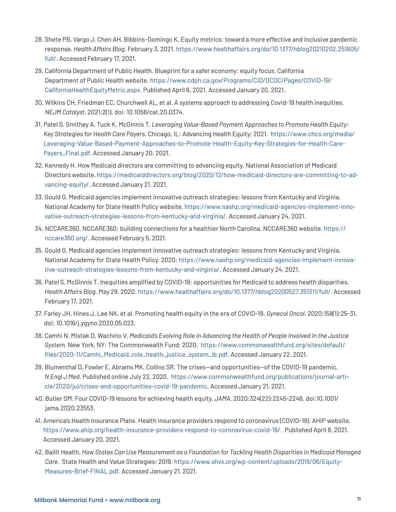- 28. Shete PB, Vargo J, Chen AH, Bibbins-Domingo K. Equity metrics: toward a more effective and inclusive pandemic response. *Health Affairs Blog*. February 3, 2021. [https://www.healthaffairs.org/do/10.1377/hblog20210202.251805/](https://www.healthaffairs.org/do/10.1377/hblog20210202.251805/full/) [full/.](https://www.healthaffairs.org/do/10.1377/hblog20210202.251805/full/) Accessed February 17, 2021.
- <span id="page-10-0"></span>29. California Department of Public Health. Blueprint for a safer economy: equity focus. California Department of Public Health website. [https://www.cdph.ca.gov/Programs/CID/DCDC/Pages/COVID-19/](https://www.cdph.ca.gov/Programs/CID/DCDC/Pages/COVID-19/CaliforniaHealthEquityMetric.aspx) [CaliforniaHealthEquityMetric.aspx](https://www.cdph.ca.gov/Programs/CID/DCDC/Pages/COVID-19/CaliforniaHealthEquityMetric.aspx). Published April 6, 2021. Accessed January 20, 2021.
- <span id="page-10-1"></span>30. Wilkins CH, Friedman EC, Churchwell AL, et al. A systems approach to addressing Covid-19 health inequities. *NEJM Catalyst.* 2021;2(1). doi: 10.1056/cat.20.0374.
- <span id="page-10-2"></span>31. Patel S, Smithey A, Tuck K, McGinnis T. *Leveraging Value-Based Payment Approaches to Promote Health Equity: Key Strategies for Health Care Payers.* Chicago, IL: Advancing Health Equity; 2021. [https://www.chcs.org/media/](https://www.chcs.org/media/Leveraging-Value-Based-Payment-Approaches-to-Promote-Health-Equity-Key-Strategies-for-Health-Care-Payers_Final.pdf) [Leveraging-Value-Based-Payment-Approaches-to-Promote-Health-Equity-Key-Strategies-for-Health-Care-](https://www.chcs.org/media/Leveraging-Value-Based-Payment-Approaches-to-Promote-Health-Equity-Key-Strategies-for-Health-Care-Payers_Final.pdf)[Payers\\_Final.pdf](https://www.chcs.org/media/Leveraging-Value-Based-Payment-Approaches-to-Promote-Health-Equity-Key-Strategies-for-Health-Care-Payers_Final.pdf). Accessed January 20, 2021.
- <span id="page-10-3"></span>32. Kennedy H. How Medicaid directors are committing to advancing equity. National Association of Medicaid Directors website. [https://medicaiddirectors.org/blog/2020/12/how-medicaid-directors-are-committing-to-ad](https://medicaiddirectors.org/blog/2020/12/how-medicaid-directors-are-committing-to-advancing-equity/)[vancing-equity/](https://medicaiddirectors.org/blog/2020/12/how-medicaid-directors-are-committing-to-advancing-equity/). Accessed January 21, 2021.
- <span id="page-10-7"></span>33. Gould G. Medicaid agencies implement innovative outreach strategies: lessons from Kentucky and Virginia. National Academy for State Health Policy website. [https://www.nashp.org/medicaid-agencies-implement-inno](https://www.nashp.org/medicaid-agencies-implement-innovative-outreach-strategies-lessons-from-kentucky-and-virginia/)[vative-outreach-strategies-lessons-from-kentucky-and-virginia/](https://www.nashp.org/medicaid-agencies-implement-innovative-outreach-strategies-lessons-from-kentucky-and-virginia/). Accessed January 24, 2021.
- <span id="page-10-8"></span>34. NCCARE360. NCCARE360: building connections for a healthier North Carolina. NCCARE360 website. https:// nccare360.org/. Accessed February 5, 2021.
- <span id="page-10-4"></span>35. Gould G. Medicaid agencies implement innovative outreach strategies: lessons from Kentucky and Virginia. National Academy for State Health Policy. 2020; [https://www.nashp.org/medicaid-agencies-implement-innova](https://www.nashp.org/medicaid-agencies-implement-innovative-outreach-strategies-lessons-from-kentucky-and-virginia/)[tive-outreach-strategies-lessons-from-kentucky-and-virginia/.](https://www.nashp.org/medicaid-agencies-implement-innovative-outreach-strategies-lessons-from-kentucky-and-virginia/) Accessed January 24, 2021.
- <span id="page-10-5"></span>36. Patel S, McGinnis T. Inequities amplified by COVID-19: opportunities for Medicaid to address health disparities. *Health Affairs Blog.* May 29, 2020. <https://www.healthaffairs.org/do/10.1377/hblog20200527.351311/full/>. Accessed February 17, 2021.
- <span id="page-10-6"></span>37. Farley JH, Hines J, Lee NK, et al. Promoting health equity in the era of COVID-19. *Gynecol Oncol.* 2020;158(1):25-31. doi: 10.1016/j.ygyno.2020.05.023.
- <span id="page-10-9"></span>38. Camhi N, Mistak D, Wachino V. *Medicaid's Evolving Role in Advancing the Health of People Involved in the Justice System.* New York, NY: The Commonwealth Fund; 2020. https://www.commonwealthfund.org/sites/default/ files/2020-11/Camhi\_Medicaid\_role\_health\_justice\_system\_ib.pdf. Accessed January 22, 2021.
- 39. Blumenthal D, Fowler E, Abrams MK, Collins SR. The crises—and opportunities—of the COVID-19 pandemic. *N Engl J Med.* Published online July 22, 2020. [https://www.commonwealthfund.org/publications/journal-arti](https://www.commonwealthfund.org/publications/journal-article/2020/jul/crises-and-opportunities-covid-19-pandemic)[cle/2020/jul/crises-and-opportunities-covid-19-pandemic](https://www.commonwealthfund.org/publications/journal-article/2020/jul/crises-and-opportunities-covid-19-pandemic). Accessed January 21, 2021.
- 40. Butler SM. Four COVID-19 lessons for achieving health equity. *JAMA.* 2020;324(22):2245-2246. doi:10.1001/ jama.2020.23553.
- <span id="page-10-10"></span>41. America's Health Insurance Plans. Health insurance providers respond to coronavirus (COVID-19). AHIP website. [https://www.ahip.org/health-insurance-providers-respond-to-coronavirus-covid-19/.](https://www.ahip.org/health-insurance-providers-respond-to-coronavirus-covid-19/) Published April 8, 2021. Accessed January 20, 2021.
- <span id="page-10-11"></span>42. Bailit Health. *How States Can Use Measurement as a Foundation for Tackling Health Disparities in Medicaid Managed Care.* State Health and Value Strategies; 2019. [https://www.shvs.org/wp-content/uploads/2019/06/Equity-](https://www.shvs.org/wp-content/uploads/2019/06/Equity-Measures-Brief-FINAL.pdf)[Measures-Brief-FINAL.pdf](https://www.shvs.org/wp-content/uploads/2019/06/Equity-Measures-Brief-FINAL.pdf). Accessed January 21, 2021.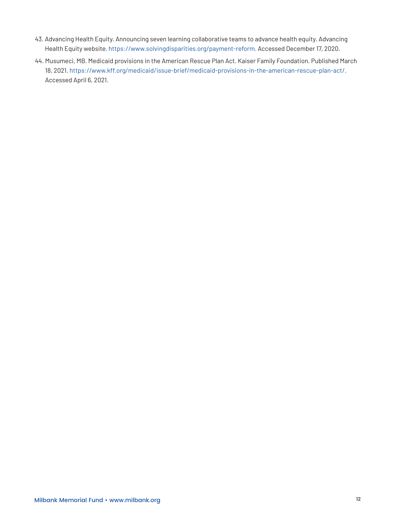- <span id="page-11-0"></span>43. Advancing Health Equity. Announcing seven learning collaborative teams to advance health equity. Advancing Health Equity website. https://www.solvingdisparities.org/payment-reform. Accessed December 17, 2020.
- <span id="page-11-1"></span>44. Musumeci, MB. Medicaid provisions in the American Rescue Plan Act. Kaiser Family Foundation. Published March 18, 2021. <https://www.kff.org/medicaid/issue-brief/medicaid-provisions-in-the-american-rescue-plan-act/>. Accessed April 6, 2021.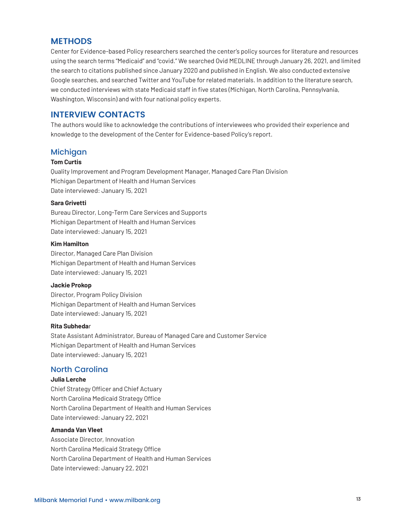## **METHODS**

Center for Evidence-based Policy researchers searched the center's policy sources for literature and resources using the search terms "Medicaid" and "covid." We searched Ovid MEDLINE through January 26, 2021, and limited the search to citations published since January 2020 and published in English. We also conducted extensive Google searches, and searched Twitter and YouTube for related materials. In addition to the literature search, we conducted interviews with state Medicaid staff in five states (Michigan, North Carolina, Pennsylvania, Washington, Wisconsin) and with four national policy experts.

## **INTERVIEW CONTACTS**

The authors would like to acknowledge the contributions of interviewees who provided their experience and knowledge to the development of the Center for Evidence-based Policy's report.

#### Michigan

#### **Tom Curtis**

Quality Improvement and Program Development Manager, Managed Care Plan Division Michigan Department of Health and Human Services Date interviewed: January 15, 2021

#### **Sara Grivetti**

Bureau Director, Long-Term Care Services and Supports Michigan Department of Health and Human Services Date interviewed: January 15, 2021

#### **Kim Hamilton**

Director, Managed Care Plan Division Michigan Department of Health and Human Services Date interviewed: January 15, 2021

#### **Jackie Prokop**

Director, Program Policy Division Michigan Department of Health and Human Services Date interviewed: January 15, 2021

#### **Rita Subheda**r

State Assistant Administrator, Bureau of Managed Care and Customer Service Michigan Department of Health and Human Services Date interviewed: January 15, 2021

## North Carolina

#### **Julia Lerche**

Chief Strategy Officer and Chief Actuary North Carolina Medicaid Strategy Office North Carolina Department of Health and Human Services Date interviewed: January 22, 2021

#### **Amanda Van Vleet**

Associate Director, Innovation North Carolina Medicaid Strategy Office North Carolina Department of Health and Human Services Date interviewed: January 22, 2021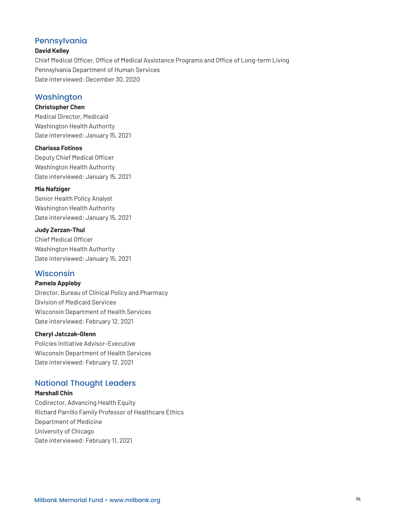## Pennsylvania

#### **David Kelley**

Chief Medical Officer, Office of Medical Assistance Programs and Office of Long-term Living Pennsylvania Department of Human Services Date interviewed: December 30, 2020

## Washington

#### **Christopher Chen**

Medical Director, Medicaid Washington Health Authority Date interviewed: January 15, 2021

#### **Charissa Fotinos**

Deputy Chief Medical Officer Washington Health Authority Date interviewed: January 15, 2021

#### **Mia Nafziger**

Senior Health Policy Analyst Washington Health Authority Date interviewed: January 15, 2021

#### **Judy Zerzan-Thul**

Chief Medical Officer Washington Health Authority Date interviewed: January 15, 2021

## Wisconsin

#### **Pamela Appleby**

Director, Bureau of Clinical Policy and Pharmacy Division of Medicaid Services Wisconsin Department of Health Services Date interviewed: February 12, 2021

#### **Cheryl Jatczak-Glenn**

Policies Initiative Advisor–Executive Wisconsin Department of Health Services Date interviewed: February 12, 2021

## National Thought Leaders

#### **Marshall Chin**

Codirector, Advancing Health Equity Richard Parrillo Family Professor of Healthcare Ethics Department of Medicine University of Chicago Date interviewed: February 11, 2021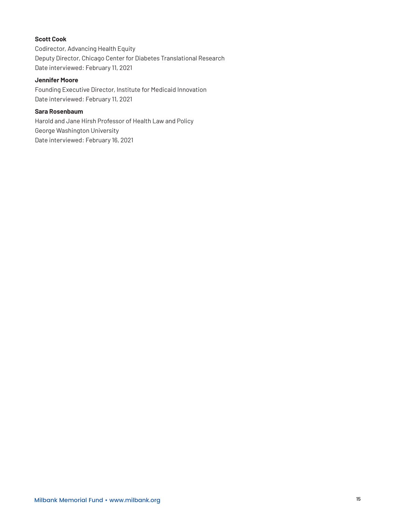#### **Scott Cook**

Codirector, Advancing Health Equity Deputy Director, Chicago Center for Diabetes Translational Research Date interviewed: February 11, 2021

#### **Jennifer Moore**

Founding Executive Director, Institute for Medicaid Innovation Date interviewed: February 11, 2021

#### **Sara Rosenbaum**

Harold and Jane Hirsh Professor of Health Law and Policy George Washington University Date interviewed: February 16, 2021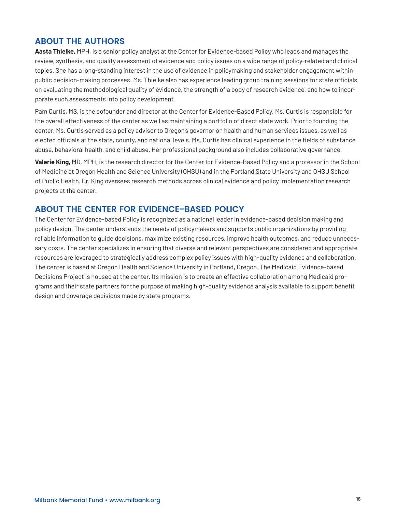## **ABOUT THE AUTHORS**

**Aasta Thielke,** MPH, is a senior policy analyst at the Center for Evidence-based Policy who leads and manages the review, synthesis, and quality assessment of evidence and policy issues on a wide range of policy-related and clinical topics. She has a long-standing interest in the use of evidence in policymaking and stakeholder engagement within public decision-making processes. Ms. Thielke also has experience leading group training sessions for state officials on evaluating the methodological quality of evidence, the strength of a body of research evidence, and how to incorporate such assessments into policy development.

Pam Curtis, MS, is the cofounder and director at the Center for Evidence-Based Policy. Ms. Curtis is responsible for the overall effectiveness of the center as well as maintaining a portfolio of direct state work. Prior to founding the center, Ms. Curtis served as a policy advisor to Oregon's governor on health and human services issues, as well as elected officials at the state, county, and national levels. Ms. Curtis has clinical experience in the fields of substance abuse, behavioral health, and child abuse. Her professional background also includes collaborative governance.

**Valerie King,** MD, MPH, is the research director for the Center for Evidence-Based Policy and a professor in the School of Medicine at Oregon Health and Science University (OHSU) and in the Portland State University and OHSU School of Public Health. Dr. King oversees research methods across clinical evidence and policy implementation research projects at the center.

## **ABOUT THE CENTER FOR EVIDENCE-BASED POLICY**

The Center for Evidence-based Policy is recognized as a national leader in evidence-based decision making and policy design. The center understands the needs of policymakers and supports public organizations by providing reliable information to guide decisions, maximize existing resources, improve health outcomes, and reduce unnecessary costs. The center specializes in ensuring that diverse and relevant perspectives are considered and appropriate resources are leveraged to strategically address complex policy issues with high-quality evidence and collaboration. The center is based at Oregon Health and Science University in Portland, Oregon. The Medicaid Evidence-based Decisions Project is housed at the center. Its mission is to create an effective collaboration among Medicaid programs and their state partners for the purpose of making high-quality evidence analysis available to support benefit design and coverage decisions made by state programs.